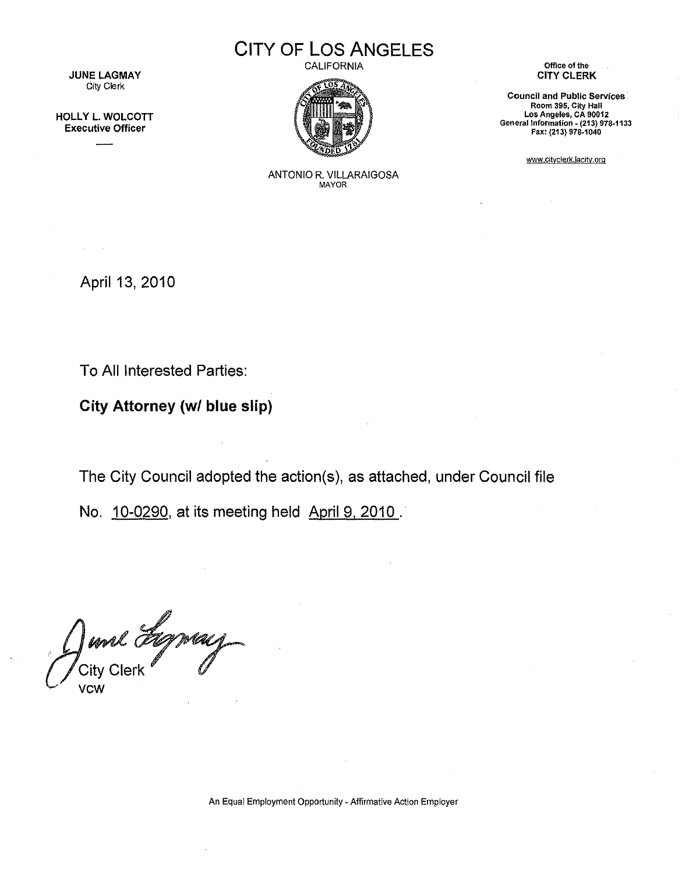**JUNE LAGMAY** City Clerk

HOLLY L. WOLCOTT Executive Officer



CALIFORNIA



Office of the CITY CLERK

Council and Public Services Room 395, City Hall Los Angeles, CA 90012 General Information - (213) 978-1133 Fax: (213) 978-1040

www.cityclerk.lacity.org

ANTONIO R. VILLARAIGOSA **MAYOR** 

April 13, 2010

To All Interested Parties:

City Attorney (w/ blue slip)

The City Council adopted the action(s), as attached, under Council file

No. 10-0290, at its meeting held April 9, 2010.

June Lyney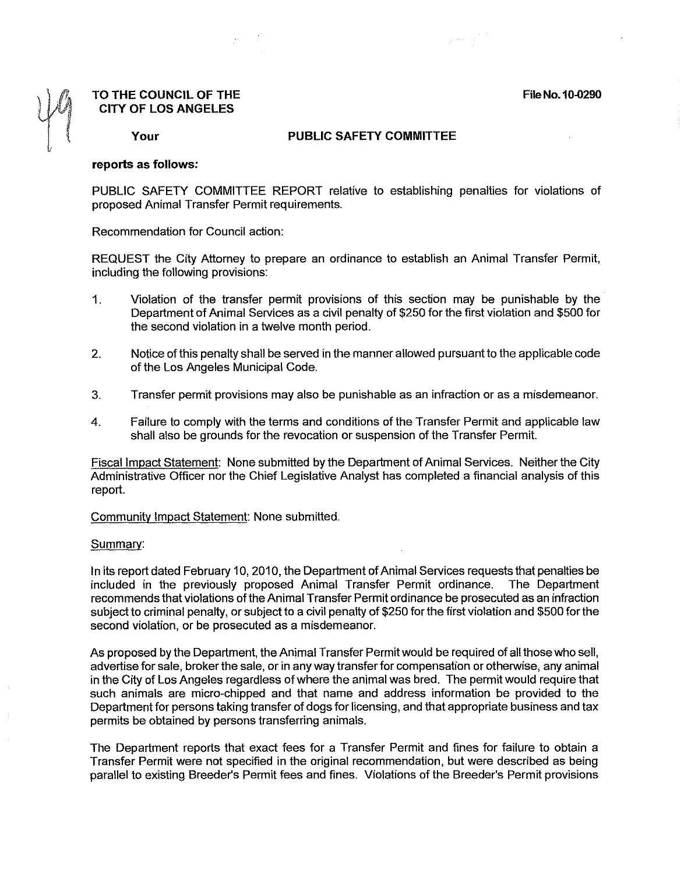**File No. 10.0290** 

 $\varphi\mapsto\varphi\varphi^{n+1}$ 

## **TO THE COUNCIL OF THE CITY OF LOS ANGELES**

**Your** 

## **PUBLIC SAFETY COMMITTEE**

## **reports as follows:**

PUBLIC SAFETY COMMITTEE REPORT relative to establishing penalties for violations of proposed Animal Transfer Permit requirements.

Recommendation for Council action:

REQUEST the City Attorney to prepare an ordinance to establish an Animal Transfer Permit, including the following provisions:

- 1. Violation of the transfer permit provisions of this section may be punishable by the Department of Animal Services as a civil penalty of \$250 for the first violation and \$500 for the second violation in a twelve month period.
- 2. Notice of this penalty shall be served in the manner allowed pursuant to the applicable code of the Los Angeles Municipal Code.
- 3. Transfer permit provisions may also be punishable as an infraction or as a misdemeanor.
- 4. Failure to comply with the terms and conditions of the Transfer Permit and applicable law shall also be grounds for the revocation or suspension of the Transfer Permit.

Fiscal Impact Statement: None submitted by the Department of Animal Services. Neither the City Administrative Officer nor the Chief Legislative Analyst has completed a financial analysis of this report.

Community Impact Statement: None submitted.

## Summary:

In its report dated February 10, 2010, the Department of Animal Services requests that penalties be included in the previously proposed Animal Transfer Permit ordinance. The Department recommends that violations ofthe Animal Transfer Permit ordinance be prosecuted as an infraction subject to criminal penalty, or subject to a civil penalty of \$250 for the first violation and \$500 for the second violation, or be prosecuted as a misdemeanor.

As proposed by the Department, the Animal Transfer Permit would be required of all those who sell, advertise for sale, broker the sale, or in any way transfer for compensation or otherwise, any animal in the City of Los Angeles regardless of where the animal was bred. The permit would require that such animals are micro-chipped and that name and address information be provided to the Department for persons taking transfer of dogs for licensing, and that appropriate business and tax permits be obtained by persons transferring animals.

The Department reports that exact fees for a Transfer Permit and fines for failure to obtain a Transfer Permit were not specified in the original recommendation, but were described as being parallel to existing Breeder's Permit fees and fines. Violations of the Breeder's Permit provisions